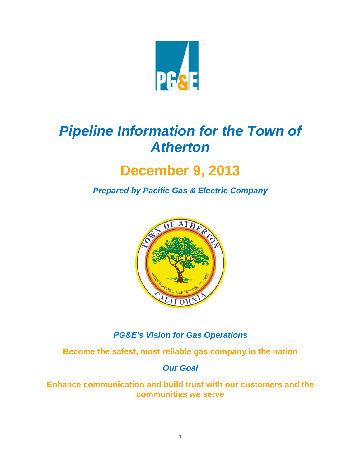

# *Pipeline Information for the Town of Atherton*

# **December 9, 2013**

*Prepared by Pacific Gas & Electric Company*



# *PG&E's Vision for Gas Operations*

**Become the safest, most reliable gas company in the nation**

*Our Goal*

**Enhance communication and build trust with our customers and the communities we serve**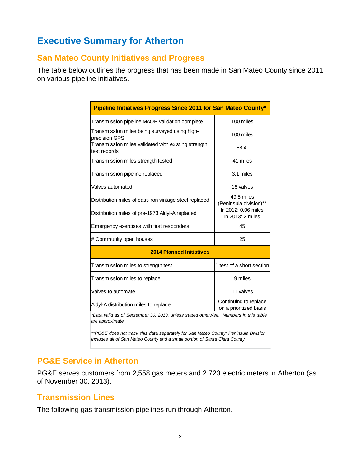# **Executive Summary for Atherton**

### **San Mateo County Initiatives and Progress**

The table below outlines the progress that has been made in San Mateo County since 2011 on various pipeline initiatives.

| Pipeline Initiatives Progress Since 2011 for San Mateo County*                                                                                                     |                                                 |  |  |  |
|--------------------------------------------------------------------------------------------------------------------------------------------------------------------|-------------------------------------------------|--|--|--|
| Transmission pipeline MAOP validation complete                                                                                                                     | 100 miles                                       |  |  |  |
| Transmission miles being surveyed using high-<br>precision GPS                                                                                                     | 100 miles                                       |  |  |  |
| Transmission miles validated with existing strength<br>test records                                                                                                | 58.4                                            |  |  |  |
| Transmission miles strength tested                                                                                                                                 | 41 miles                                        |  |  |  |
| Transmission pipeline replaced                                                                                                                                     | 3.1 miles                                       |  |  |  |
| Valves automated                                                                                                                                                   | 16 valves                                       |  |  |  |
| Distribution miles of cast-iron vintage steel replaced                                                                                                             | 49.5 miles<br>(Peninsula division)**            |  |  |  |
| Distribution miles of pre-1973 Aldyl-A replaced                                                                                                                    | In 2012: 0.06 miles<br>In 2013: 2 miles         |  |  |  |
| Emergency exercises with first responders                                                                                                                          | 45                                              |  |  |  |
| # Community open houses                                                                                                                                            | 25                                              |  |  |  |
| <b>2014 Planned Initiatives</b>                                                                                                                                    |                                                 |  |  |  |
| Transmission miles to strength test                                                                                                                                | 1 test of a short section                       |  |  |  |
| Transmission miles to replace                                                                                                                                      | 9 miles                                         |  |  |  |
| Valves to automate                                                                                                                                                 | 11 valves                                       |  |  |  |
| Aldyl-A distribution miles to replace                                                                                                                              | Continuing to replace<br>on a prioritized basis |  |  |  |
| *Data valid as of September 30, 2013, unless stated otherwise. Numbers in this table<br>are approximate.                                                           |                                                 |  |  |  |
| **PG&E does not track this data separately for San Mateo County; Peninsula Division<br>includes all of San Mateo County and a small portion of Santa Clara County. |                                                 |  |  |  |

### **PG&E Service in Atherton**

PG&E serves customers from 2,558 gas meters and 2,723 electric meters in Atherton (as of November 30, 2013).

### **Transmission Lines**

The following gas transmission pipelines run through Atherton.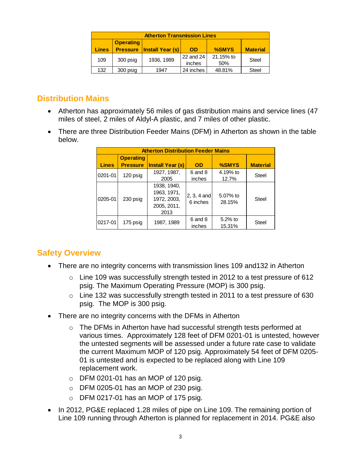| <b>Atherton Transmission Lines</b> |                                                                                                 |            |                     |                  |       |  |  |
|------------------------------------|-------------------------------------------------------------------------------------------------|------------|---------------------|------------------|-------|--|--|
| <b>Lines</b>                       | <b>Operating</b><br>%SMYS<br><b>Pressure   Install Year (s)</b><br><b>Material</b><br><b>OD</b> |            |                     |                  |       |  |  |
| 109                                | 300 psig                                                                                        | 1936, 1989 | 22 and 24<br>inches | 21.15% to<br>50% | Steel |  |  |
| 132                                | 300 psig                                                                                        | 1947       | 24 inches           | 48.81%           | Steel |  |  |

## **Distribution Mains**

- Atherton has approximately 56 miles of gas distribution mains and service lines (47 miles of steel, 2 miles of Aldyl-A plastic, and 7 miles of other plastic.
- There are three Distribution Feeder Mains (DFM) in Atherton as shown in the table below.

| <b>Atherton Distribution Feeder Mains</b> |                  |                                                                  |                           |                      |                 |  |
|-------------------------------------------|------------------|------------------------------------------------------------------|---------------------------|----------------------|-----------------|--|
|                                           | <b>Operating</b> |                                                                  |                           |                      |                 |  |
| <b>Lines</b>                              | <b>Pressure</b>  | <b>Install Year (s)</b>                                          | <b>OD</b>                 | %SMYS                | <b>Material</b> |  |
| 0201-01                                   | 120 psig         | 1927, 1987,                                                      | 6 and 8                   | 4.19% to             | <b>Steel</b>    |  |
|                                           |                  | 2005                                                             | inches                    | 12.7%                |                 |  |
| 0205-01                                   | 230 psig         | 1938, 1940,<br>1963, 1971,<br>1972, 2003,<br>2005, 2011,<br>2013 | $2, 3, 4$ and<br>6 inches | 5.07% to<br>28.15%   | <b>Steel</b>    |  |
| 0217-01                                   | 175 psig         | 1987, 1989                                                       | 6 and 8<br>inches         | $5.2\%$ to<br>15.31% | <b>Steel</b>    |  |

# **Safety Overview**

- There are no integrity concerns with transmission lines 109 and132 in Atherton
	- o Line 109 was successfully strength tested in 2012 to a test pressure of 612 psig. The Maximum Operating Pressure (MOP) is 300 psig.
	- o Line 132 was successfully strength tested in 2011 to a test pressure of 630 psig. The MOP is 300 psig.
- There are no integrity concerns with the DFMs in Atherton
	- o The DFMs in Atherton have had successful strength tests performed at various times. Approximately 128 feet of DFM 0201-01 is untested, however the untested segments will be assessed under a future rate case to validate the current Maximum MOP of 120 psig. Approximately 54 feet of DFM 0205- 01 is untested and is expected to be replaced along with Line 109 replacement work.
	- o DFM 0201-01 has an MOP of 120 psig.
	- $\circ$  DFM 0205-01 has an MOP of 230 psig.
	- $\circ$  DFM 0217-01 has an MOP of 175 psig.
- In 2012, PG&E replaced 1.28 miles of pipe on Line 109. The remaining portion of Line 109 running through Atherton is planned for replacement in 2014. PG&E also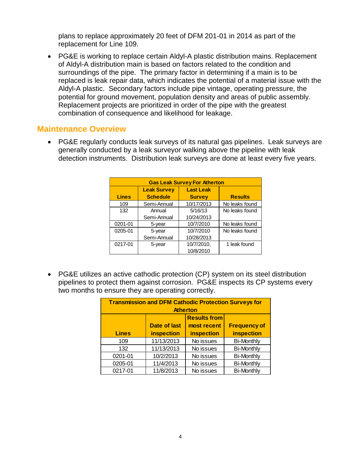plans to replace approximately 20 feet of DFM 201-01 in 2014 as part of the replacement for Line 109.

 PG&E is working to replace certain Aldyl-A plastic distribution mains. Replacement of Aldyl-A distribution main is based on factors related to the condition and surroundings of the pipe. The primary factor in determining if a main is to be replaced is leak repair data, which indicates the potential of a material issue with the Aldyl-A plastic. Secondary factors include pipe vintage, operating pressure, the potential for ground movement, population density and areas of public assembly. Replacement projects are prioritized in order of the pipe with the greatest combination of consequence and likelihood for leakage.

#### **Maintenance Overview**

 PG&E regularly conducts leak surveys of its natural gas pipelines. Leak surveys are generally conducted by a leak surveyor walking above the pipeline with leak detection instruments. Distribution leak surveys are done at least every five years.

| <b>Gas Leak Survey For Atherton</b> |                    |                  |                |  |  |
|-------------------------------------|--------------------|------------------|----------------|--|--|
|                                     | <b>Leak Survey</b> | <b>Last Leak</b> |                |  |  |
| <b>Lines</b>                        | <b>Schedule</b>    | <b>Survey</b>    | <b>Results</b> |  |  |
| 109                                 | Semi-Annual        | 10/17/2013       | No leaks found |  |  |
| 132                                 | Annual             | 5/16/13          | No leaks found |  |  |
|                                     | Semi-Annual        | 10/24/2013       |                |  |  |
| 0201-01                             | 5-year             | 10/7/2010        | No leaks found |  |  |
| 0205-01                             | 5-year             | 10/7/2010        | No leaks found |  |  |
|                                     | Semi-Annual        | 10/28/2013       |                |  |  |
| 0217-01                             | 5-year             | 10/7/2010,       | 1 leak found   |  |  |
|                                     |                    | 10/8/2010        |                |  |  |

 PG&E utilizes an active cathodic protection (CP) system on its steel distribution pipelines to protect them against corrosion. PG&E inspects its CP systems every two months to ensure they are operating correctly.

| <b>Transmission and DFM Cathodic Protection Surveys for</b><br><b>Atherton</b> |                                    |                   |                   |  |  |
|--------------------------------------------------------------------------------|------------------------------------|-------------------|-------------------|--|--|
| <b>Results from</b><br><b>Frequency of</b>                                     |                                    |                   |                   |  |  |
|                                                                                | <b>Date of last</b><br>most recent |                   |                   |  |  |
| <b>Lines</b>                                                                   | <b>inspection</b>                  | <b>inspection</b> | inspection        |  |  |
| 109                                                                            | 11/13/2013                         | No issues         | <b>Bi-Monthly</b> |  |  |
| 132                                                                            | 11/13/2013                         | No issues         | <b>Bi-Monthly</b> |  |  |
| 0201-01                                                                        | 10/2/2013                          | No issues         | <b>Bi-Monthly</b> |  |  |
| 0205-01                                                                        | 11/4/2013                          | No issues         | <b>Bi-Monthly</b> |  |  |
| 0217-01                                                                        | 11/8/2013                          | No issues         | <b>Bi-Monthly</b> |  |  |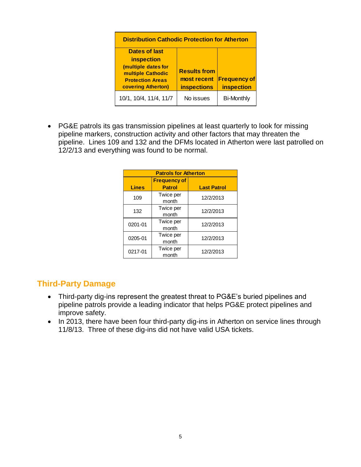| <b>Distribution Cathodic Protection for Atherton</b>                                             |                                                          |                                   |  |  |
|--------------------------------------------------------------------------------------------------|----------------------------------------------------------|-----------------------------------|--|--|
| <b>Dates of last</b>                                                                             |                                                          |                                   |  |  |
| <b>inspection</b>                                                                                |                                                          |                                   |  |  |
| (multiple dates for<br>multiple Cathodic<br><b>Protection Areas</b><br><b>covering Atherton)</b> | <b>Results from</b><br>most recent<br><b>inspections</b> | <b>Frequency of</b><br>inspection |  |  |
| 10/1, 10/4, 11/4, 11/7                                                                           | No issues                                                | <b>Bi-Monthly</b>                 |  |  |

 PG&E patrols its gas transmission pipelines at least quarterly to look for missing pipeline markers, construction activity and other factors that may threaten the pipeline. Lines 109 and 132 and the DFMs located in Atherton were last patrolled on 12/2/13 and everything was found to be normal.

|              | <b>Patrols for Atherton</b> |                    |  |  |  |
|--------------|-----------------------------|--------------------|--|--|--|
|              | <b>Frequency of</b>         |                    |  |  |  |
| <b>Lines</b> | <b>Patrol</b>               | <b>Last Patrol</b> |  |  |  |
| 109          | Twice per<br>month          | 12/2/2013          |  |  |  |
| 132          | Twice per<br>month          | 12/2/2013          |  |  |  |
| 0201-01      | Twice per<br>month          | 12/2/2013          |  |  |  |
| 0205-01      | Twice per<br>month          | 12/2/2013          |  |  |  |
| 0217-01      | Twice per<br>month          | 12/2/2013          |  |  |  |

### **Third-Party Damage**

- Third-party dig-ins represent the greatest threat to PG&E's buried pipelines and pipeline patrols provide a leading indicator that helps PG&E protect pipelines and improve safety.
- In 2013, there have been four third-party dig-ins in Atherton on service lines through 11/8/13. Three of these dig-ins did not have valid USA tickets.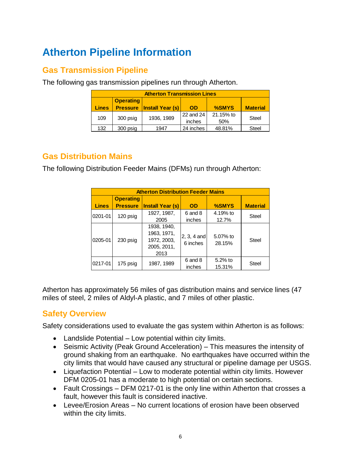# **Atherton Pipeline Information**

## **Gas Transmission Pipeline**

The following gas transmission pipelines run through Atherton.

|              | <b>Atherton Transmission Lines</b>                                                               |            |                     |                  |              |  |
|--------------|--------------------------------------------------------------------------------------------------|------------|---------------------|------------------|--------------|--|
| <b>Lines</b> | <b>Operating</b><br>%SMYS<br>Install Year (s)<br><b>Pressure</b><br><b>Material</b><br><b>OD</b> |            |                     |                  |              |  |
| 109          | 300 psig                                                                                         | 1936, 1989 | 22 and 24<br>inches | 21.15% to<br>50% | Steel        |  |
| 132          | 300 psig                                                                                         | 1947       | 24 inches           | 48.81%           | <b>Steel</b> |  |

### **Gas Distribution Mains**

The following Distribution Feeder Mains (DFMs) run through Atherton:

|              | <b>Atherton Distribution Feeder Mains</b> |                                                                  |                           |                      |                 |  |  |
|--------------|-------------------------------------------|------------------------------------------------------------------|---------------------------|----------------------|-----------------|--|--|
| <b>Lines</b> | <b>Operating</b><br><b>Pressure</b>       | <b>Install Year (s)</b>                                          | <b>OD</b>                 | %SMYS                | <b>Material</b> |  |  |
| 0201-01      | 120 psig                                  | 1927, 1987,<br>2005                                              | 6 and 8<br>inches         | 4.19% to<br>12.7%    | <b>Steel</b>    |  |  |
| 0205-01      | 230 psig                                  | 1938, 1940,<br>1963, 1971,<br>1972, 2003,<br>2005, 2011,<br>2013 | $2, 3, 4$ and<br>6 inches | 5.07% to<br>28.15%   | <b>Steel</b>    |  |  |
| 0217-01      | 175 psig                                  | 1987, 1989                                                       | 6 and 8<br>inches         | $5.2\%$ to<br>15.31% | <b>Steel</b>    |  |  |

Atherton has approximately 56 miles of gas distribution mains and service lines (47 miles of steel, 2 miles of Aldyl-A plastic, and 7 miles of other plastic.

# **Safety Overview**

Safety considerations used to evaluate the gas system within Atherton is as follows:

- Landslide Potential Low potential within city limits.
- Seismic Activity (Peak Ground Acceleration) This measures the intensity of ground shaking from an earthquake. No earthquakes have occurred within the city limits that would have caused any structural or pipeline damage per USGS.
- Liquefaction Potential Low to moderate potential within city limits. However DFM 0205-01 has a moderate to high potential on certain sections.
- Fault Crossings DFM 0217-01 is the only line within Atherton that crosses a fault, however this fault is considered inactive.
- Levee/Erosion Areas No current locations of erosion have been observed within the city limits.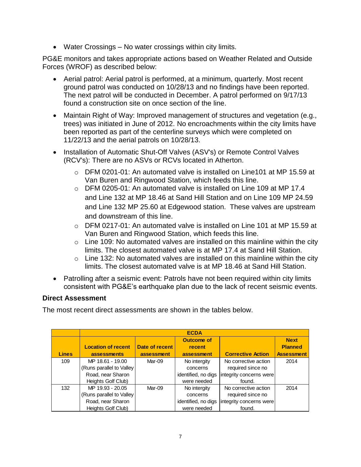Water Crossings – No water crossings within city limits.

PG&E monitors and takes appropriate actions based on Weather Related and Outside Forces (WROF) as described below:

- Aerial patrol: Aerial patrol is performed, at a minimum, quarterly. Most recent ground patrol was conducted on 10/28/13 and no findings have been reported. The next patrol will be conducted in December. A patrol performed on 9/17/13 found a construction site on once section of the line.
- Maintain Right of Way: Improved management of structures and vegetation (e.g., trees) was initiated in June of 2012. No encroachments within the city limits have been reported as part of the centerline surveys which were completed on 11/22/13 and the aerial patrols on 10/28/13.
- Installation of Automatic Shut-Off Valves (ASV's) or Remote Control Valves (RCV's): There are no ASVs or RCVs located in Atherton.
	- o DFM 0201-01: An automated valve is installed on Line101 at MP 15.59 at Van Buren and Ringwood Station, which feeds this line.
	- o DFM 0205-01: An automated valve is installed on Line 109 at MP 17.4 and Line 132 at MP 18.46 at Sand Hill Station and on Line 109 MP 24.59 and Line 132 MP 25.60 at Edgewood station. These valves are upstream and downstream of this line.
	- $\circ$  DFM 0217-01: An automated valve is installed on Line 101 at MP 15.59 at Van Buren and Ringwood Station, which feeds this line.
	- $\circ$  Line 109: No automated valves are installed on this mainline within the city limits. The closest automated valve is at MP 17.4 at Sand Hill Station.
	- $\circ$  Line 132: No automated valves are installed on this mainline within the city limits. The closest automated valve is at MP 18.46 at Sand Hill Station.
- Patrolling after a seismic event: Patrols have not been required within city limits consistent with PG&E's earthquake plan due to the lack of recent seismic events.

#### **Direct Assessment**

The most recent direct assessments are shown in the tables below.

|              |                           |                | <b>ECDA</b>         |                          |                   |
|--------------|---------------------------|----------------|---------------------|--------------------------|-------------------|
|              |                           |                | Outcome of          |                          | <b>Next</b>       |
|              | <b>Location of recent</b> | Date of recent | recent              |                          | <b>Planned</b>    |
| <b>Lines</b> | assessments               | assessment     | assessment          | <b>Corrective Action</b> | <b>Assessment</b> |
| 109          | MP 18.61 - 19.00          | Mar-09         | No intergity        | No corrective action     | 2014              |
|              | (Runs parallel to Valley  |                | concerns            | required since no        |                   |
|              | Road, near Sharon         |                | identified, no digs | integrity concerns were  |                   |
|              | Heights Golf Club)        |                | were needed         | found.                   |                   |
| 132          | MP 19.93 - 20.05          | Mar-09         | No intergity        | No corrective action     | 2014              |
|              | (Runs parallel to Valley) |                | concerns            | required since no        |                   |
|              | Road, near Sharon         |                | identified, no digs | integrity concerns were  |                   |
|              | Heights Golf Club)        |                | were needed         | found.                   |                   |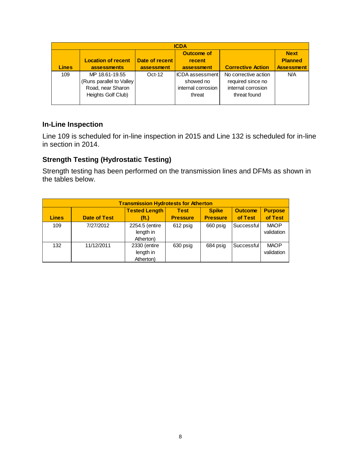|              | <b>ICDA</b>               |                |                    |                          |                   |  |
|--------------|---------------------------|----------------|--------------------|--------------------------|-------------------|--|
|              |                           |                | Outcome of         |                          | <b>Next</b>       |  |
|              | <b>Location of recent</b> | Date of recent | recent             |                          | <b>Planned</b>    |  |
| <b>Lines</b> | assessments               | assessment     | assessment         | <b>Corrective Action</b> | <b>Assessment</b> |  |
| 109          | MP 18.61-19.55            | $Oct-12$       | IICDA assessment l | No corrective action     | N/A               |  |
|              | (Runs parallel to Valley) |                | showed no          | required since no        |                   |  |
|              | Road, near Sharon         |                | internal corrosion | internal corrosion       |                   |  |
|              | Heights Golf Club)        |                | threat             | threat found             |                   |  |
|              |                           |                |                    |                          |                   |  |

#### **In-Line Inspection**

Line 109 is scheduled for in-line inspection in 2015 and Line 132 is scheduled for in-line in section in 2014.

#### **Strength Testing (Hydrostatic Testing)**

Strength testing has been performed on the transmission lines and DFMs as shown in the tables below.

| <b>Transmission Hydrotests for Atherton</b> |                                                                                                                                                                                                 |                |          |          |            |             |  |
|---------------------------------------------|-------------------------------------------------------------------------------------------------------------------------------------------------------------------------------------------------|----------------|----------|----------|------------|-------------|--|
| <b>Lines</b>                                | <b>Tested Length</b><br><b>Spike</b><br><b>Purpose</b><br><b>Test</b><br><b>Outcome</b><br>of Test<br><b>Pressure</b><br><b>Date of Test</b><br>of Test<br>(f <sub>t</sub> )<br><b>Pressure</b> |                |          |          |            |             |  |
|                                             |                                                                                                                                                                                                 |                |          |          |            |             |  |
| 109                                         | 7/27/2012                                                                                                                                                                                       | 2254.5 (entire | 612 psig | 660 psig | Successful | <b>MAOP</b> |  |
|                                             |                                                                                                                                                                                                 | length in      |          |          |            | validation  |  |
|                                             |                                                                                                                                                                                                 | Atherton)      |          |          |            |             |  |
| 132                                         | 11/12/2011                                                                                                                                                                                      | 2330 (entire   | 630 psig | 684 psig | Successful | <b>MAOP</b> |  |
|                                             |                                                                                                                                                                                                 | length in      |          |          |            | validation  |  |
|                                             |                                                                                                                                                                                                 | Atherton)      |          |          |            |             |  |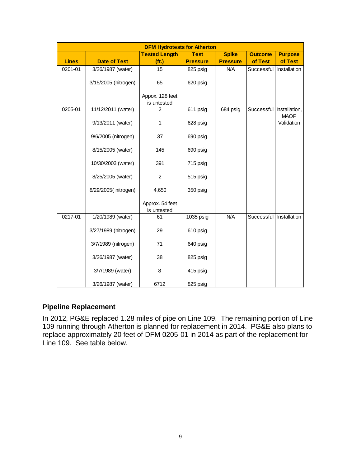| <b>DFM Hydrotests for Atherton</b> |                      |                                |                 |                 |                          |                |  |
|------------------------------------|----------------------|--------------------------------|-----------------|-----------------|--------------------------|----------------|--|
|                                    |                      | <b>Tested Length</b>           | <b>Test</b>     | <b>Spike</b>    | <b>Outcome</b>           | <b>Purpose</b> |  |
| <b>Lines</b>                       | <b>Date of Test</b>  | (f <sub>t</sub> )              | <b>Pressure</b> | <b>Pressure</b> | of Test                  | of Test        |  |
| 0201-01                            | 3/26/1987 (water)    | 15                             | 825 psig        | N/A             | Successful               | Installation   |  |
|                                    | 3/15/2005 (nitrogen) | 65                             | 620 psig        |                 |                          |                |  |
|                                    |                      | Appox. 128 feet<br>is untested |                 |                 |                          |                |  |
| 0205-01                            | 11/12/2011 (water)   | 2                              | 611 psig        | 684 psig        | Successful Installation, | <b>MAOP</b>    |  |
|                                    | 9/13/2011 (water)    | 1                              | 628 psig        |                 |                          | Validation     |  |
|                                    | 9/6/2005 (nitrogen)  | 37                             | 690 psig        |                 |                          |                |  |
|                                    | 8/15/2005 (water)    | 145                            | 690 psig        |                 |                          |                |  |
|                                    | 10/30/2003 (water)   | 391                            | 715 psig        |                 |                          |                |  |
|                                    | 8/25/2005 (water)    | $\overline{c}$                 | 515 psig        |                 |                          |                |  |
|                                    | 8/29/2005(nitrogen)  | 4,650                          | 350 psig        |                 |                          |                |  |
|                                    |                      | Approx. 54 feet<br>is untested |                 |                 |                          |                |  |
| 0217-01                            | 1/20/1989 (water)    | 61                             | 1035 psig       | N/A             | Successful               | Installation   |  |
|                                    | 3/27/1989 (nitrogen) | 29                             | 610 psig        |                 |                          |                |  |
|                                    | 3/7/1989 (nitrogen)  | 71                             | 640 psig        |                 |                          |                |  |
|                                    | 3/26/1987 (water)    | 38                             | 825 psig        |                 |                          |                |  |
|                                    | 3/7/1989 (water)     | 8                              | 415 psig        |                 |                          |                |  |
|                                    | 3/26/1987 (water)    | 6712                           | 825 psig        |                 |                          |                |  |

#### **Pipeline Replacement**

In 2012, PG&E replaced 1.28 miles of pipe on Line 109. The remaining portion of Line 109 running through Atherton is planned for replacement in 2014. PG&E also plans to replace approximately 20 feet of DFM 0205-01 in 2014 as part of the replacement for Line 109. See table below.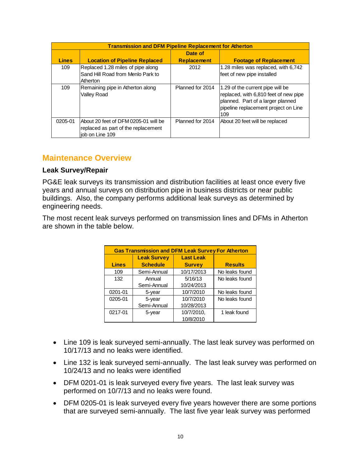|              | <b>Transmission and DFM Pipeline Replacement for Atherton</b>                                  |                    |                                                                                                                                                               |  |  |  |  |
|--------------|------------------------------------------------------------------------------------------------|--------------------|---------------------------------------------------------------------------------------------------------------------------------------------------------------|--|--|--|--|
|              |                                                                                                | Date of            |                                                                                                                                                               |  |  |  |  |
| <b>Lines</b> | <b>Location of Pipeline Replaced</b>                                                           | <b>Replacement</b> | <b>Footage of Replacement</b>                                                                                                                                 |  |  |  |  |
| 109          | Replaced 1.28 miles of pipe along<br>Sand Hill Road from Menlo Park to<br>Atherton             | 2012               | 1.28 miles was replaced, with 6,742<br>feet of new pipe installed                                                                                             |  |  |  |  |
| 109          | Remaining pipe in Atherton along<br>Valley Road                                                | Planned for 2014   | 1.29 of the current pipe will be<br>replaced, with 6,810 feet of new pipe<br>planned. Part of a larger planned<br>pipeline replacement project on Line<br>109 |  |  |  |  |
| 0205-01      | About 20 feet of DFM 0205-01 will be<br>replaced as part of the replacement<br>iob on Line 109 | Planned for 2014   | About 20 feet will be replaced                                                                                                                                |  |  |  |  |

#### **Maintenance Overview**

#### **Leak Survey/Repair**

PG&E leak surveys its transmission and distribution facilities at least once every five years and annual surveys on distribution pipe in business districts or near public buildings. Also, the company performs additional leak surveys as determined by engineering needs.

The most recent leak surveys performed on transmission lines and DFMs in Atherton are shown in the table below.

| <b>Gas Transmission and DFM Leak Survey For Atherton</b> |                                        |            |                |  |  |  |
|----------------------------------------------------------|----------------------------------------|------------|----------------|--|--|--|
|                                                          | <b>Leak Survey</b><br><b>Last Leak</b> |            |                |  |  |  |
| <b>Lines</b>                                             | <b>Schedule</b>                        |            | <b>Results</b> |  |  |  |
| 109                                                      | Semi-Annual                            | 10/17/2013 | No leaks found |  |  |  |
| 132                                                      | Annual                                 | 5/16/13    | No leaks found |  |  |  |
|                                                          | Semi-Annual                            | 10/24/2013 |                |  |  |  |
| 0201-01                                                  | 5-year                                 | 10/7/2010  | No leaks found |  |  |  |
| 0205-01                                                  | 5-year                                 | 10/7/2010  | No leaks found |  |  |  |
|                                                          | Semi-Annual                            | 10/28/2013 |                |  |  |  |
| 0217-01                                                  | 5-year                                 | 10/7/2010, | 1 leak found   |  |  |  |
|                                                          |                                        | 10/8/2010  |                |  |  |  |

- Line 109 is leak surveyed semi-annually. The last leak survey was performed on 10/17/13 and no leaks were identified.
- Line 132 is leak surveyed semi-annually. The last leak survey was performed on 10/24/13 and no leaks were identified
- DFM 0201-01 is leak surveyed every five years. The last leak survey was performed on 10/7/13 and no leaks were found.
- DFM 0205-01 is leak surveyed every five years however there are some portions that are surveyed semi-annually. The last five year leak survey was performed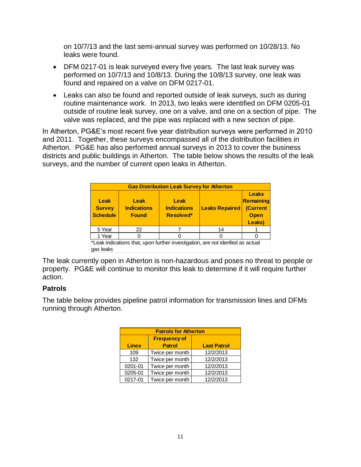on 10/7/13 and the last semi-annual survey was performed on 10/28/13. No leaks were found.

- DFM 0217-01 is leak surveyed every five years. The last leak survey was performed on 10/7/13 and 10/8/13. During the 10/8/13 survey, one leak was found and repaired on a valve on DFM 0217-01.
- Leaks can also be found and reported outside of leak surveys, such as during routine maintenance work. In 2013, two leaks were identified on DFM 0205-01 outside of routine leak survey, one on a valve, and one on a section of pipe. The valve was replaced, and the pipe was replaced with a new section of pipe.

In Atherton, PG&E's most recent five year distribution surveys were performed in 2010 and 2011. Together, these surveys encompassed all of the distribution facilities in Atherton. PG&E has also performed annual surveys in 2013 to cover the business districts and public buildings in Atherton. The table below shows the results of the leak surveys, and the number of current open leaks in Atherton.

| <b>Gas Distribution Leak Survey for Atherton</b>                            |                                            |                                         |                       |                                                                |  |  |
|-----------------------------------------------------------------------------|--------------------------------------------|-----------------------------------------|-----------------------|----------------------------------------------------------------|--|--|
| <b>Leak</b><br><b>Survey</b><br><b>Schedule</b>                             | Leak<br><b>Indications</b><br><b>Found</b> | Leak<br><b>Indications</b><br>Resolved* | <b>Leaks Repaired</b> | <b>Leaks</b><br>Remaining<br>(Current<br><b>Open</b><br>Leaks) |  |  |
| 5 Year                                                                      | 22                                         |                                         | 14                    |                                                                |  |  |
| 1 Year                                                                      |                                            |                                         |                       |                                                                |  |  |
| that indications that unon further investigation are not identied as actual |                                            |                                         |                       |                                                                |  |  |

ik indications that, upon further investigation, are not idenfied as actual gas leaks

The leak currently open in Atherton is non-hazardous and poses no threat to people or property. PG&E will continue to monitor this leak to determine if it will require further action.

#### **Patrols**

The table below provides pipeline patrol information for transmission lines and DFMs running through Atherton.

| <b>Patrols for Atherton</b> |                     |                    |  |  |  |  |
|-----------------------------|---------------------|--------------------|--|--|--|--|
|                             | <b>Frequency of</b> |                    |  |  |  |  |
| <b>Lines</b>                | <b>Patrol</b>       | <b>Last Patrol</b> |  |  |  |  |
| 109                         | Twice per month     | 12/2/2013          |  |  |  |  |
| 132                         | Twice per month     | 12/2/2013          |  |  |  |  |
| 0201-01                     | Twice per month     | 12/2/2013          |  |  |  |  |
| 0205-01                     | Twice per month     | 12/2/2013          |  |  |  |  |
| 0217-01                     | Twice per month     | 12/2/2013          |  |  |  |  |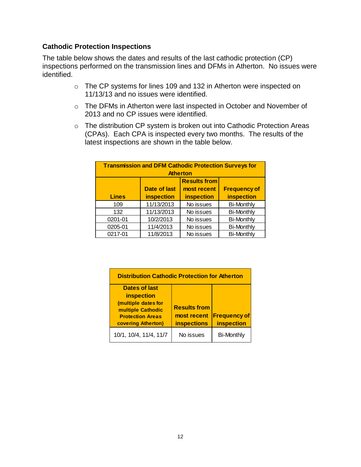#### **Cathodic Protection Inspections**

The table below shows the dates and results of the last cathodic protection (CP) inspections performed on the transmission lines and DFMs in Atherton. No issues were identified.

- o The CP systems for lines 109 and 132 in Atherton were inspected on 11/13/13 and no issues were identified.
- o The DFMs in Atherton were last inspected in October and November of 2013 and no CP issues were identified.
- o The distribution CP system is broken out into Cathodic Protection Areas (CPAs). Each CPA is inspected every two months. The results of the latest inspections are shown in the table below.

| <b>Transmission and DFM Cathodic Protection Surveys for</b><br><b>Atherton</b> |                                                    |            |                   |  |  |
|--------------------------------------------------------------------------------|----------------------------------------------------|------------|-------------------|--|--|
|                                                                                | <b>Results from</b>                                |            |                   |  |  |
|                                                                                | <b>Frequency of</b><br>Date of last<br>most recent |            |                   |  |  |
| <b>Lines</b>                                                                   | <b>inspection</b>                                  | inspection | inspection        |  |  |
| 109                                                                            | 11/13/2013                                         | No issues  | <b>Bi-Monthly</b> |  |  |
| 132                                                                            | 11/13/2013                                         | No issues  | <b>Bi-Monthly</b> |  |  |
| 0201-01                                                                        | 10/2/2013                                          | No issues  | <b>Bi-Monthly</b> |  |  |
| 0205-01                                                                        | 11/4/2013                                          | No issues  | <b>Bi-Monthly</b> |  |  |
| 0217-01                                                                        | 11/8/2013                                          | No issues  | <b>Bi-Monthly</b> |  |  |

| <b>Distribution Cathodic Protection for Atherton</b>                                             |                                                          |                                   |  |  |  |
|--------------------------------------------------------------------------------------------------|----------------------------------------------------------|-----------------------------------|--|--|--|
| <b>Dates of last</b>                                                                             |                                                          |                                   |  |  |  |
| inspection                                                                                       |                                                          |                                   |  |  |  |
| (multiple dates for<br>multiple Cathodic<br><b>Protection Areas</b><br><b>covering Atherton)</b> | <b>Results from</b><br>most recent<br><b>inspections</b> | <b>Frequency of</b><br>inspection |  |  |  |
| 10/1, 10/4, 11/4, 11/7                                                                           | No issues                                                | <b>Bi-Monthly</b>                 |  |  |  |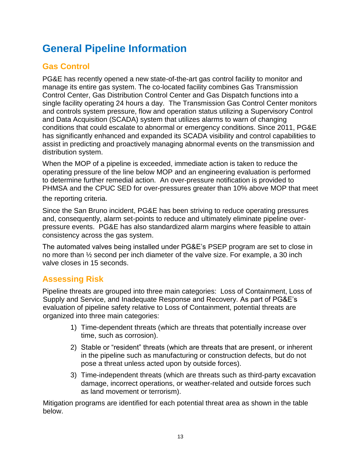# **General Pipeline Information**

# **Gas Control**

PG&E has recently opened a new state-of-the-art gas control facility to monitor and manage its entire gas system. The co-located facility combines Gas Transmission Control Center, Gas Distribution Control Center and Gas Dispatch functions into a single facility operating 24 hours a day. The Transmission Gas Control Center monitors and controls system pressure, flow and operation status utilizing a Supervisory Control and Data Acquisition (SCADA) system that utilizes alarms to warn of changing conditions that could escalate to abnormal or emergency conditions. Since 2011, PG&E has significantly enhanced and expanded its SCADA visibility and control capabilities to assist in predicting and proactively managing abnormal events on the transmission and distribution system.

When the MOP of a pipeline is exceeded, immediate action is taken to reduce the operating pressure of the line below MOP and an engineering evaluation is performed to determine further remedial action. An over-pressure notification is provided to PHMSA and the CPUC SED for over-pressures greater than 10% above MOP that meet the reporting criteria.

Since the San Bruno incident, PG&E has been striving to reduce operating pressures and, consequently, alarm set-points to reduce and ultimately eliminate pipeline overpressure events. PG&E has also standardized alarm margins where feasible to attain consistency across the gas system.

The automated valves being installed under PG&E's PSEP program are set to close in no more than ½ second per inch diameter of the valve size. For example, a 30 inch valve closes in 15 seconds.

### **Assessing Risk**

Pipeline threats are grouped into three main categories: Loss of Containment, Loss of Supply and Service, and Inadequate Response and Recovery. As part of PG&E's evaluation of pipeline safety relative to Loss of Containment, potential threats are organized into three main categories:

- 1) Time-dependent threats (which are threats that potentially increase over time, such as corrosion).
- 2) Stable or "resident" threats (which are threats that are present, or inherent in the pipeline such as manufacturing or construction defects, but do not pose a threat unless acted upon by outside forces).
- 3) Time-independent threats (which are threats such as third-party excavation damage, incorrect operations, or weather-related and outside forces such as land movement or terrorism).

Mitigation programs are identified for each potential threat area as shown in the table below.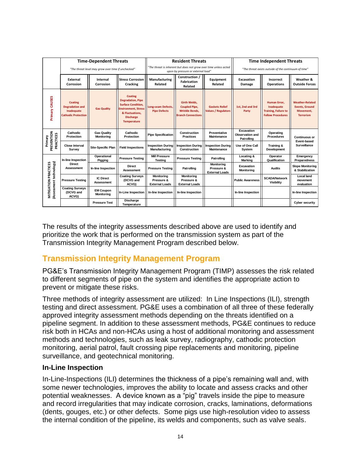|                                                        | <b>Time-Dependent Threats</b>                                                        |                                         |                                                                                                                                                                    | <b>Resident Threats</b>                                  |                                                                                                   |                                                          | <b>Time Independent Threats</b>                    |                                                                                              |                                                                                  |
|--------------------------------------------------------|--------------------------------------------------------------------------------------|-----------------------------------------|--------------------------------------------------------------------------------------------------------------------------------------------------------------------|----------------------------------------------------------|---------------------------------------------------------------------------------------------------|----------------------------------------------------------|----------------------------------------------------|----------------------------------------------------------------------------------------------|----------------------------------------------------------------------------------|
|                                                        | "The threat level may grow over time if unchecked"                                   |                                         | "The threat is inherent but does not grow over time unless acted<br>upon by pressure or external load"                                                             |                                                          |                                                                                                   | "The threat exists outside of the continuum of time"     |                                                    |                                                                                              |                                                                                  |
|                                                        | External<br>Corrosion                                                                | Internal<br>Corrosion                   | <b>Stress Corrosion</b><br>Cracking                                                                                                                                | Manufacturing<br>Related                                 | Construction /<br><b>Fabrication</b><br>Related                                                   | Equipment<br>Related                                     | Excavation<br>Damage                               | Incorrect<br><b>Operations</b>                                                               | Weather &<br><b>Outside Forces</b>                                               |
| CAUSES<br>Primary                                      | <b>Coating</b><br><b>Degradation and</b><br>Inadequate<br><b>Cathodic Protection</b> | <b>Gas Quality</b>                      | <b>Coating</b><br><b>Degradation, Pipe</b><br><b>Surface Condition,</b><br><b>Environment, Stress</b><br>& Fluctuations,<br><b>Discharge</b><br><b>Temperature</b> | Long-seam Defects,<br><b>Pipe Defects</b>                | <b>Girth Welds.</b><br><b>Coupled Pipe,</b><br><b>Wrinkle Bends.</b><br><b>Branch Connections</b> | <b>Gaskets Relief</b><br><b>Values / Regulators</b>      | 1st. 2nd and 3rd<br>Party                          | <b>Human Error.</b><br>Inadequate<br><b>Training, Failure to</b><br><b>Follow Procedures</b> | <b>Weather-Related</b><br><b>Events, Ground</b><br>Movement.<br><b>Terrorism</b> |
| Primary<br>PREVENTION<br><b>PRACTICES</b>              | Cathodic<br><b>Protection</b>                                                        | <b>Gas Quality</b><br><b>Monitoring</b> | Cathodic<br>Protection                                                                                                                                             | <b>Pipe Specification</b>                                | Construction<br><b>Practices</b>                                                                  | Preventative<br><b>Maintenance</b>                       | Excavation<br><b>Observation and</b><br>Patrolling | Operating<br><b>Procedures</b>                                                               | <b>Continuous or</b>                                                             |
|                                                        | <b>Close Interval</b><br><b>Survey</b>                                               | <b>Site-Specific Plan</b>               | <b>Field Inspections</b>                                                                                                                                           | <b>Inspection During</b><br>Manufacturing                | <b>Inspection During</b><br>Construction                                                          | <b>Inspection During</b><br><b>Maintenance</b>           | Use of One Call<br>System                          | Training &<br>Development                                                                    | Event-based<br><b>Surveillance</b>                                               |
|                                                        | In-line Inspection                                                                   | Operational<br>Pigging                  | <b>Pressure Testing</b>                                                                                                                                            | <b>Mill Pressure</b><br><b>Testing</b>                   | <b>Pressure Testing</b>                                                                           | Patrolling                                               | Locating &<br><b>Marking</b>                       | Operator<br>Qualification                                                                    | Emergency<br><b>Preparedness</b>                                                 |
|                                                        | <b>Direct</b><br><b>Assessment</b>                                                   | In-line Inspection                      | <b>Direct</b><br>Assessment                                                                                                                                        | <b>Pressure Testing</b>                                  | Patrolling                                                                                        | <b>Monitoring</b><br>Pressure &<br><b>External Loads</b> | Excavation<br><b>Monitoring</b>                    | <b>Audits</b>                                                                                | <b>Slope Monitoring</b><br>& Stabilization                                       |
|                                                        | <b>Pressure Testing</b>                                                              | <b>IC Direct</b><br><b>Assessment</b>   | <b>Coating Surveys</b><br>(DCVG and<br>ACVG)                                                                                                                       | <b>Monitoring</b><br>Pressure &<br><b>External Loads</b> | <b>Monitoring</b><br>Pressure &<br><b>External Loads</b>                                          |                                                          | <b>Public Awareness</b>                            | <b>SCADA/Network</b><br><b>Visibility</b>                                                    | Local land<br>movement<br>evaluation                                             |
| <b>MITIGATION PRACTICES</b><br>(Assessment technology) | <b>Coating Surveys</b><br>(DCVG and<br>ACVG)                                         | <b>EM Coupon</b><br><b>Monitoring</b>   | In-Line Inspection                                                                                                                                                 | In-line Inspection                                       | In-line Inspection                                                                                |                                                          | In-line Inspection                                 |                                                                                              | In-line Inspection                                                               |
|                                                        |                                                                                      | <b>Pressure Test</b>                    | Discharge<br>Temperature                                                                                                                                           |                                                          |                                                                                                   |                                                          |                                                    |                                                                                              | Cyber security                                                                   |

The results of the integrity assessments described above are used to identify and prioritize the work that is performed on the transmission system as part of the Transmission Integrity Management Program described below.

# **Transmission Integrity Management Program**

PG&E's Transmission Integrity Management Program (TIMP) assesses the risk related to different segments of pipe on the system and identifies the appropriate action to prevent or mitigate these risks.

Three methods of integrity assessment are utilized: In Line Inspections (ILI), strength testing and direct assessment. PG&E uses a combination of all three of these federally approved integrity assessment methods depending on the threats identified on a pipeline segment. In addition to these assessment methods, PG&E continues to reduce risk both in HCAs and non-HCAs using a host of additional monitoring and assessment methods and technologies, such as leak survey, radiography, cathodic protection monitoring, aerial patrol, fault crossing pipe replacements and monitoring, pipeline surveillance, and geotechnical monitoring.

#### **In-Line Inspection**

In-Line-Inspections (ILI) determines the thickness of a pipe's remaining wall and, with some newer technologies, improves the ability to locate and assess cracks and other potential weaknesses. A device known as a "pig" travels inside the pipe to measure and record irregularities that may indicate corrosion, cracks, laminations, deformations (dents, gouges, etc.) or other defects. Some pigs use high-resolution video to assess the internal condition of the pipeline, its welds and components, such as valve seals.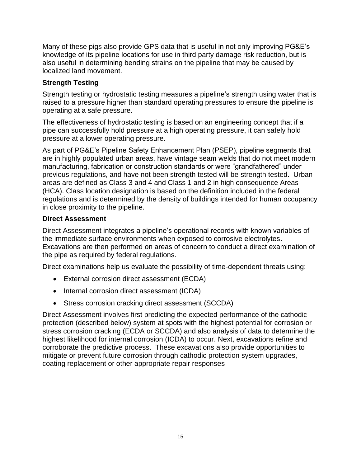Many of these pigs also provide GPS data that is useful in not only improving PG&E's knowledge of its pipeline locations for use in third party damage risk reduction, but is also useful in determining bending strains on the pipeline that may be caused by localized land movement.

#### **Strength Testing**

Strength testing or hydrostatic testing measures a pipeline's strength using water that is raised to a pressure higher than standard operating pressures to ensure the pipeline is operating at a safe pressure.

The effectiveness of hydrostatic testing is based on an engineering concept that if a pipe can successfully hold pressure at a high operating pressure, it can safely hold pressure at a lower operating pressure.

As part of PG&E's Pipeline Safety Enhancement Plan (PSEP), pipeline segments that are in highly populated urban areas, have vintage seam welds that do not meet modern manufacturing, fabrication or construction standards or were "grandfathered" under previous regulations, and have not been strength tested will be strength tested. Urban areas are defined as Class 3 and 4 and Class 1 and 2 in high consequence Areas (HCA). Class location designation is based on the definition included in the federal regulations and is determined by the density of buildings intended for human occupancy in close proximity to the pipeline.

#### **Direct Assessment**

Direct Assessment integrates a pipeline's operational records with known variables of the immediate surface environments when exposed to corrosive electrolytes. Excavations are then performed on areas of concern to conduct a direct examination of the pipe as required by federal regulations.

Direct examinations help us evaluate the possibility of time-dependent threats using:

- External corrosion direct assessment (ECDA)
- Internal corrosion direct assessment (ICDA)
- Stress corrosion cracking direct assessment (SCCDA)

Direct Assessment involves first predicting the expected performance of the cathodic protection (described below) system at spots with the highest potential for corrosion or stress corrosion cracking (ECDA or SCCDA) and also analysis of data to determine the highest likelihood for internal corrosion (ICDA) to occur. Next, excavations refine and corroborate the predictive process. These excavations also provide opportunities to mitigate or prevent future corrosion through cathodic protection system upgrades, coating replacement or other appropriate repair responses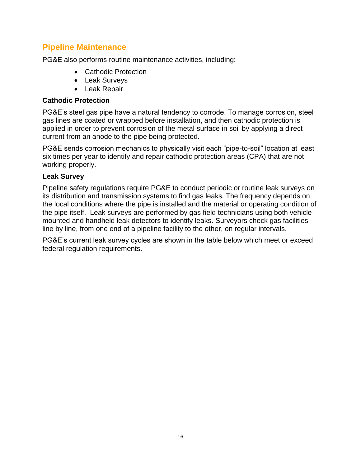### **Pipeline Maintenance**

PG&E also performs routine maintenance activities, including:

- Cathodic Protection
- Leak Surveys
- Leak Repair

#### **Cathodic Protection**

PG&E's steel gas pipe have a natural tendency to corrode. To manage corrosion, steel gas lines are coated or wrapped before installation, and then cathodic protection is applied in order to prevent corrosion of the metal surface in soil by applying a direct current from an anode to the pipe being protected.

PG&E sends corrosion mechanics to physically visit each "pipe-to-soil" location at least six times per year to identify and repair cathodic protection areas (CPA) that are not working properly.

#### **Leak Survey**

Pipeline safety regulations require PG&E to conduct periodic or routine leak surveys on its distribution and transmission systems to find gas leaks. The frequency depends on the local conditions where the pipe is installed and the material or operating condition of the pipe itself. Leak surveys are performed by gas field technicians using both vehiclemounted and handheld leak detectors to identify leaks. Surveyors check gas facilities line by line, from one end of a pipeline facility to the other, on regular intervals.

PG&E's current leak survey cycles are shown in the table below which meet or exceed federal regulation requirements.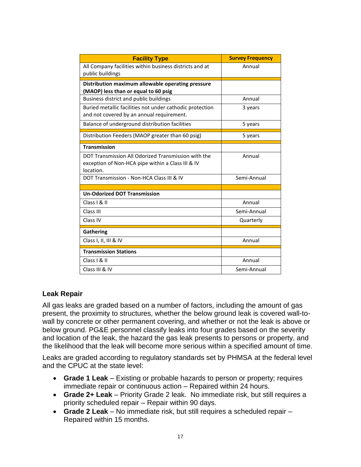| <b>Facility Type</b>                                                                                                  | <b>Survey Frequency</b> |
|-----------------------------------------------------------------------------------------------------------------------|-------------------------|
| All Company facilities within business districts and at<br>public buildings                                           | Annual                  |
| Distribution maximum allowable operating pressure<br>(MAOP) less than or equal to 60 psig                             |                         |
| Business district and public buildings                                                                                | Annual                  |
| Buried metallic facilities not under cathodic protection<br>and not covered by an annual requirement.                 | 3 years                 |
| Balance of underground distribution facilities                                                                        | 5 years                 |
| Distribution Feeders (MAOP greater than 60 psig)                                                                      | 5 years                 |
| <b>Transmission</b>                                                                                                   |                         |
| DOT Transmission All Odorized Transmission with the<br>exception of Non-HCA pipe within a Class III & IV<br>location. | Annual                  |
| DOT Transmission - Non-HCA Class III & IV                                                                             | Semi-Annual             |
|                                                                                                                       |                         |
| <b>Un-Odorized DOT Transmission</b>                                                                                   |                         |
| Class I & II                                                                                                          | Annual                  |
| Class III                                                                                                             | Semi-Annual             |
| Class IV                                                                                                              | Quarterly               |
| <b>Gathering</b>                                                                                                      |                         |
| Class I, II, III & IV                                                                                                 | Annual                  |
| <b>Transmission Stations</b>                                                                                          |                         |
| Class I & II                                                                                                          | Annual                  |
| Class III & IV                                                                                                        | Semi-Annual             |

#### **Leak Repair**

All gas leaks are graded based on a number of factors, including the amount of gas present, the proximity to structures, whether the below ground leak is covered wall-towall by concrete or other permanent covering, and whether or not the leak is above or below ground. PG&E personnel classify leaks into four grades based on the severity and location of the leak, the hazard the gas leak presents to persons or property, and the likelihood that the leak will become more serious within a specified amount of time.

Leaks are graded according to regulatory standards set by PHMSA at the federal level and the CPUC at the state level:

- **Grade 1 Leak**  Existing or probable hazards to person or property; requires immediate repair or continuous action – Repaired within 24 hours.
- **Grade 2+ Leak**  Priority Grade 2 leak. No immediate risk, but still requires a priority scheduled repair – Repair within 90 days.
- **Grade 2 Leak**  No immediate risk, but still requires a scheduled repair Repaired within 15 months.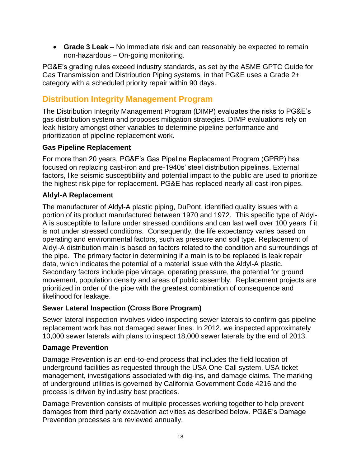**Grade 3 Leak** – No immediate risk and can reasonably be expected to remain non-hazardous – On-going monitoring.

PG&E's grading rules exceed industry standards, as set by the ASME GPTC Guide for Gas Transmission and Distribution Piping systems, in that PG&E uses a Grade 2+ category with a scheduled priority repair within 90 days.

# **Distribution Integrity Management Program**

The Distribution Integrity Management Program (DIMP) evaluates the risks to PG&E's gas distribution system and proposes mitigation strategies. DIMP evaluations rely on leak history amongst other variables to determine pipeline performance and prioritization of pipeline replacement work.

#### **Gas Pipeline Replacement**

For more than 20 years, PG&E's Gas Pipeline Replacement Program (GPRP) has focused on replacing cast-iron and pre-1940s' steel distribution pipelines. External factors, like seismic susceptibility and potential impact to the public are used to prioritize the highest risk pipe for replacement. PG&E has replaced nearly all cast-iron pipes.

#### **Aldyl-A Replacement**

The manufacturer of Aldyl-A plastic piping, DuPont, identified quality issues with a portion of its product manufactured between 1970 and 1972. This specific type of Aldyl-A is susceptible to failure under stressed conditions and can last well over 100 years if it is not under stressed conditions. Consequently, the life expectancy varies based on operating and environmental factors, such as pressure and soil type. Replacement of Aldyl-A distribution main is based on factors related to the condition and surroundings of the pipe. The primary factor in determining if a main is to be replaced is leak repair data, which indicates the potential of a material issue with the Aldyl-A plastic. Secondary factors include pipe vintage, operating pressure, the potential for ground movement, population density and areas of public assembly. Replacement projects are prioritized in order of the pipe with the greatest combination of consequence and likelihood for leakage.

#### **Sewer Lateral Inspection (Cross Bore Program)**

Sewer lateral inspection involves video inspecting sewer laterals to confirm gas pipeline replacement work has not damaged sewer lines. In 2012, we inspected approximately 10,000 sewer laterals with plans to inspect 18,000 sewer laterals by the end of 2013.

#### **Damage Prevention**

Damage Prevention is an end-to-end process that includes the field location of underground facilities as requested through the USA One-Call system, USA ticket management, investigations associated with dig-ins, and damage claims. The marking of underground utilities is governed by California Government Code 4216 and the process is driven by industry best practices.

Damage Prevention consists of multiple processes working together to help prevent damages from third party excavation activities as described below. PG&E's Damage Prevention processes are reviewed annually.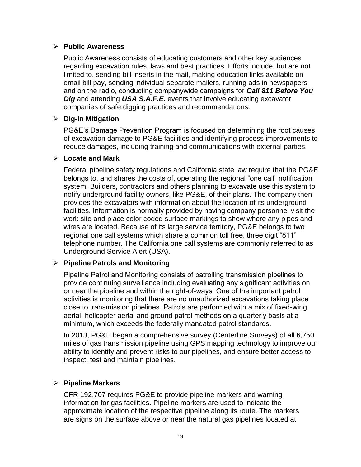#### **Public Awareness**

Public Awareness consists of educating customers and other key audiences regarding excavation rules, laws and best practices. Efforts include, but are not limited to, sending bill inserts in the mail, making education links available on email bill pay, sending individual separate mailers, running ads in newspapers and on the radio, conducting companywide campaigns for *Call 811 Before You Dig* and attending USA S.A.F.E. events that involve educating excavator companies of safe digging practices and recommendations.

#### **Dig-In Mitigation**

PG&E's Damage Prevention Program is focused on determining the root causes of excavation damage to PG&E facilities and identifying process improvements to reduce damages, including training and communications with external parties.

#### **Locate and Mark**

Federal pipeline safety regulations and California state law require that the PG&E belongs to, and shares the costs of, operating the regional "one call" notification system. Builders, contractors and others planning to excavate use this system to notify underground facility owners, like PG&E, of their plans. The company then provides the excavators with information about the location of its underground facilities. Information is normally provided by having company personnel visit the work site and place color coded surface markings to show where any pipes and wires are located. Because of its large service territory, PG&E belongs to two regional one call systems which share a common toll free, three digit "811" telephone number. The California one call systems are commonly referred to as Underground Service Alert (USA).

#### **Pipeline Patrols and Monitoring**

Pipeline Patrol and Monitoring consists of patrolling transmission pipelines to provide continuing surveillance including evaluating any significant activities on or near the pipeline and within the right-of-ways. One of the important patrol activities is monitoring that there are no unauthorized excavations taking place close to transmission pipelines. Patrols are performed with a mix of fixed-wing aerial, helicopter aerial and ground patrol methods on a quarterly basis at a minimum, which exceeds the federally mandated patrol standards.

In 2013, PG&E began a comprehensive survey (Centerline Surveys) of all 6,750 miles of gas transmission pipeline using GPS mapping technology to improve our ability to identify and prevent risks to our pipelines, and ensure better access to inspect, test and maintain pipelines.

#### **Pipeline Markers**

CFR 192.707 requires PG&E to provide pipeline markers and warning information for gas facilities. Pipeline markers are used to indicate the approximate location of the respective pipeline along its route. The markers are signs on the surface above or near the natural gas pipelines located at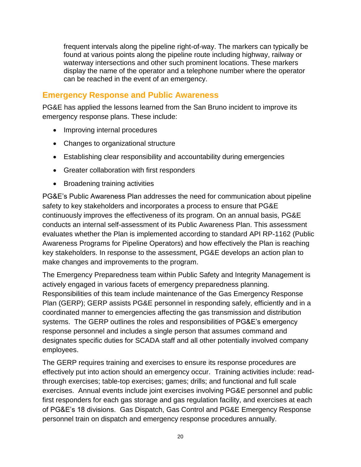frequent intervals along the pipeline right-of-way. The markers can typically be found at various points along the pipeline route including highway, railway or waterway intersections and other such prominent locations. These markers display the name of the operator and a telephone number where the operator can be reached in the event of an emergency.

### **Emergency Response and Public Awareness**

PG&E has applied the lessons learned from the San Bruno incident to improve its emergency response plans. These include:

- Improving internal procedures
- Changes to organizational structure
- Establishing clear responsibility and accountability during emergencies
- Greater collaboration with first responders
- Broadening training activities

PG&E's Public Awareness Plan addresses the need for communication about pipeline safety to key stakeholders and incorporates a process to ensure that PG&E continuously improves the effectiveness of its program. On an annual basis, PG&E conducts an internal self-assessment of its Public Awareness Plan. This assessment evaluates whether the Plan is implemented according to standard API RP-1162 (Public Awareness Programs for Pipeline Operators) and how effectively the Plan is reaching key stakeholders. In response to the assessment, PG&E develops an action plan to make changes and improvements to the program.

The Emergency Preparedness team within Public Safety and Integrity Management is actively engaged in various facets of emergency preparedness planning. Responsibilities of this team include maintenance of the Gas Emergency Response Plan (GERP); GERP assists PG&E personnel in responding safely, efficiently and in a coordinated manner to emergencies affecting the gas transmission and distribution systems. The GERP outlines the roles and responsibilities of PG&E's emergency response personnel and includes a single person that assumes command and designates specific duties for SCADA staff and all other potentially involved company employees.

The GERP requires training and exercises to ensure its response procedures are effectively put into action should an emergency occur. Training activities include: readthrough exercises; table-top exercises; games; drills; and functional and full scale exercises. Annual events include joint exercises involving PG&E personnel and public first responders for each gas storage and gas regulation facility, and exercises at each of PG&E's 18 divisions. Gas Dispatch, Gas Control and PG&E Emergency Response personnel train on dispatch and emergency response procedures annually.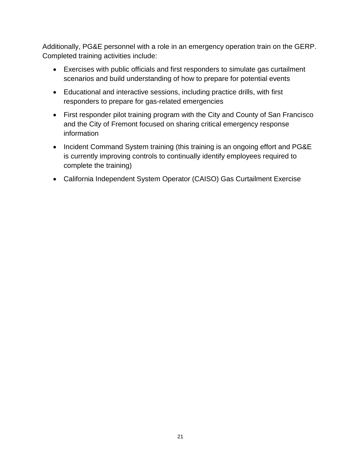Additionally, PG&E personnel with a role in an emergency operation train on the GERP. Completed training activities include:

- Exercises with public officials and first responders to simulate gas curtailment scenarios and build understanding of how to prepare for potential events
- Educational and interactive sessions, including practice drills, with first responders to prepare for gas-related emergencies
- First responder pilot training program with the City and County of San Francisco and the City of Fremont focused on sharing critical emergency response information
- Incident Command System training (this training is an ongoing effort and PG&E is currently improving controls to continually identify employees required to complete the training)
- California Independent System Operator (CAISO) Gas Curtailment Exercise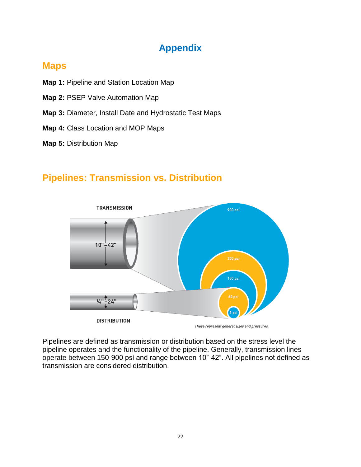# **Appendix**

# **Maps**

- **Map 1:** Pipeline and Station Location Map
- **Map 2:** PSEP Valve Automation Map
- **Map 3:** Diameter, Install Date and Hydrostatic Test Maps
- **Map 4:** Class Location and MOP Maps
- **Map 5:** Distribution Map

# **Pipelines: Transmission vs. Distribution**



Pipelines are defined as transmission or distribution based on the stress level the pipeline operates and the functionality of the pipeline. Generally, transmission lines operate between 150-900 psi and range between 10"-42". All pipelines not defined as transmission are considered distribution.